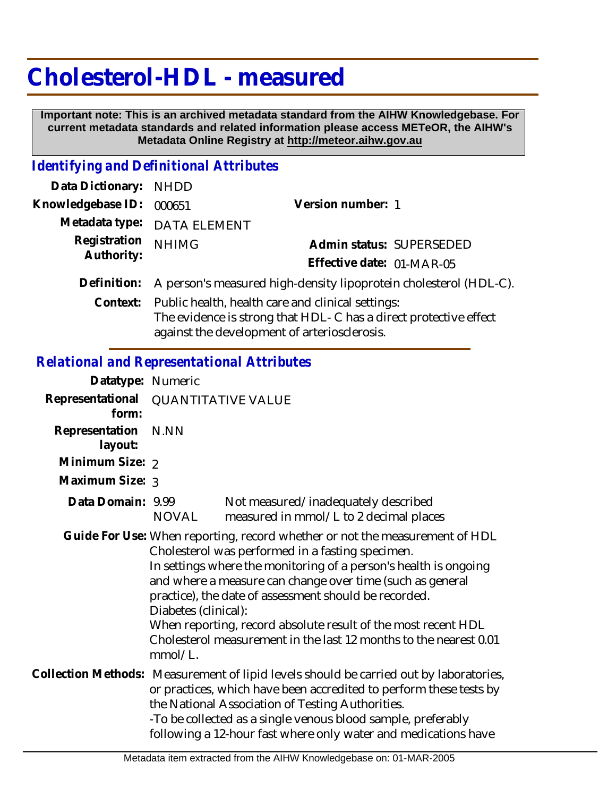# **Cholesterol-HDL - measured**

 **Important note: This is an archived metadata standard from the AIHW Knowledgebase. For current metadata standards and related information please access METeOR, the AIHW's Metadata Online Registry at http://meteor.aihw.gov.au**

## *Identifying and Definitional Attributes*

| Data Dictionary:           | <b>NHDD</b>                                                       |                           |  |
|----------------------------|-------------------------------------------------------------------|---------------------------|--|
| Knowledgebase ID:          | 000651                                                            | Version number: 1         |  |
| Metadata type:             | <b>DATA ELEMENT</b>                                               |                           |  |
| Registration<br>Authority: | <b>NHIMG</b>                                                      | Admin status: SUPERSEDED  |  |
|                            |                                                                   | Effective date: 01-MAR-05 |  |
| Definition:                | A person's measured high-density lipoprotein cholesterol (HDL-C). |                           |  |
| Context:                   | Public health, health care and clinical settings:                 |                           |  |
|                            | The evidence is strong that HDL-C has a direct protective effect  |                           |  |
|                            | against the development of arteriosclerosis.                      |                           |  |

#### *Relational and Representational Attributes*

| Datatype: Numeric         |                                                                                                                                                                                                                                                                                                                                                                                                                                                                                                    |                                                                                                                                                                                                                                                                                                                                                    |  |
|---------------------------|----------------------------------------------------------------------------------------------------------------------------------------------------------------------------------------------------------------------------------------------------------------------------------------------------------------------------------------------------------------------------------------------------------------------------------------------------------------------------------------------------|----------------------------------------------------------------------------------------------------------------------------------------------------------------------------------------------------------------------------------------------------------------------------------------------------------------------------------------------------|--|
| Representational<br>form: | <b>QUANTITATIVE VALUE</b>                                                                                                                                                                                                                                                                                                                                                                                                                                                                          |                                                                                                                                                                                                                                                                                                                                                    |  |
| Representation<br>layout: | N.NN                                                                                                                                                                                                                                                                                                                                                                                                                                                                                               |                                                                                                                                                                                                                                                                                                                                                    |  |
| Minimum Size: 2           |                                                                                                                                                                                                                                                                                                                                                                                                                                                                                                    |                                                                                                                                                                                                                                                                                                                                                    |  |
| Maximum Size: 3           |                                                                                                                                                                                                                                                                                                                                                                                                                                                                                                    |                                                                                                                                                                                                                                                                                                                                                    |  |
| Data Domain: 9.99         | NOVAL                                                                                                                                                                                                                                                                                                                                                                                                                                                                                              | Not measured/inadequately described<br>measured in mmol/L to 2 decimal places                                                                                                                                                                                                                                                                      |  |
|                           | Guide For Use: When reporting, record whether or not the measurement of HDL<br>Cholesterol was performed in a fasting specimen.<br>In settings where the monitoring of a person's health is ongoing<br>and where a measure can change over time (such as general<br>practice), the date of assessment should be recorded.<br>Diabetes (clinical):<br>When reporting, record absolute result of the most recent HDL<br>Cholesterol measurement in the last 12 months to the nearest 0.01<br>mmol/L. |                                                                                                                                                                                                                                                                                                                                                    |  |
|                           |                                                                                                                                                                                                                                                                                                                                                                                                                                                                                                    | Collection Methods: Measurement of lipid levels should be carried out by laboratories,<br>or practices, which have been accredited to perform these tests by<br>the National Association of Testing Authorities.<br>-To be collected as a single venous blood sample, preferably<br>following a 12-hour fast where only water and medications have |  |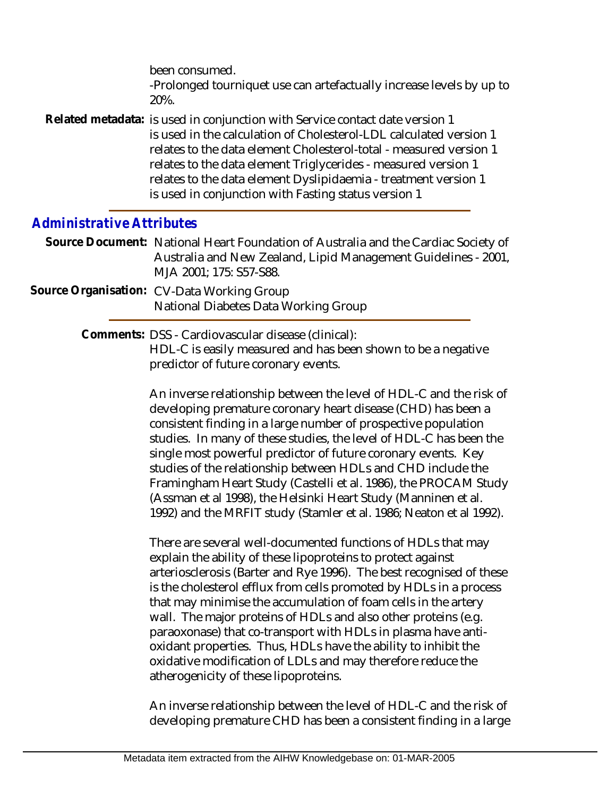been consumed. -Prolonged tourniquet use can artefactually increase levels by up to 20%. Related metadata: is used in conjunction with Service contact date version 1

is used in the calculation of Cholesterol-LDL calculated version 1 relates to the data element Cholesterol-total - measured version 1 relates to the data element Triglycerides - measured version 1 relates to the data element Dyslipidaemia - treatment version 1 is used in conjunction with Fasting status version 1

### *Administrative Attributes*

- Source Document: National Heart Foundation of Australia and the Cardiac Society of Australia and New Zealand, Lipid Management Guidelines - 2001, MJA 2001; 175: S57-S88.
- Source Organisation: CV-Data Working Group National Diabetes Data Working Group

Comments: DSS - Cardiovascular disease (clinical):

HDL-C is easily measured and has been shown to be a negative predictor of future coronary events.

An inverse relationship between the level of HDL-C and the risk of developing premature coronary heart disease (CHD) has been a consistent finding in a large number of prospective population studies. In many of these studies, the level of HDL-C has been the single most powerful predictor of future coronary events. Key studies of the relationship between HDLs and CHD include the Framingham Heart Study (Castelli et al. 1986), the PROCAM Study (Assman et al 1998), the Helsinki Heart Study (Manninen et al. 1992) and the MRFIT study (Stamler et al. 1986; Neaton et al 1992).

There are several well-documented functions of HDLs that may explain the ability of these lipoproteins to protect against arteriosclerosis (Barter and Rye 1996). The best recognised of these is the cholesterol efflux from cells promoted by HDLs in a process that may minimise the accumulation of foam cells in the artery wall. The major proteins of HDLs and also other proteins (e.g. paraoxonase) that co-transport with HDLs in plasma have antioxidant properties. Thus, HDLs have the ability to inhibit the oxidative modification of LDLs and may therefore reduce the atherogenicity of these lipoproteins.

An inverse relationship between the level of HDL-C and the risk of developing premature CHD has been a consistent finding in a large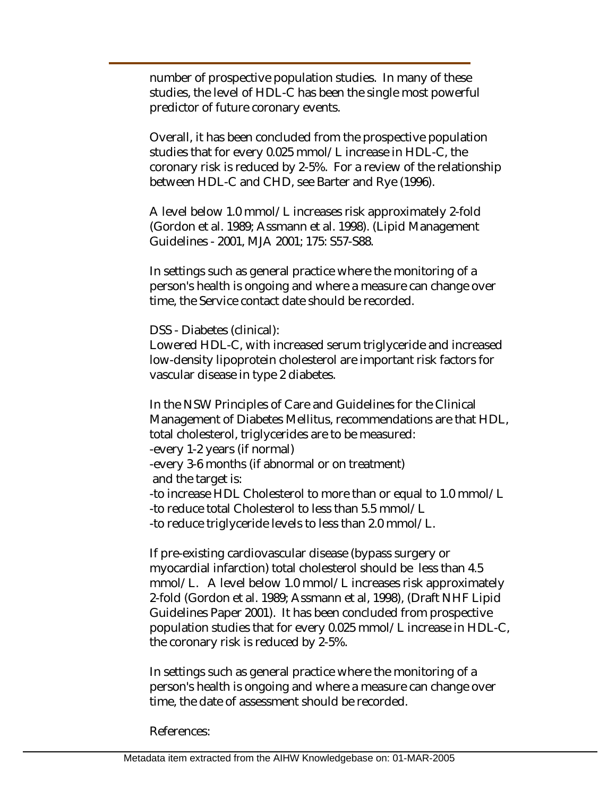number of prospective population studies. In many of these studies, the level of HDL-C has been the single most powerful predictor of future coronary events.

Overall, it has been concluded from the prospective population studies that for every 0.025 mmol/L increase in HDL-C, the coronary risk is reduced by 2-5%. For a review of the relationship between HDL-C and CHD, see Barter and Rye (1996).

A level below 1.0 mmol/L increases risk approximately 2-fold (Gordon et al. 1989; Assmann et al. 1998). (Lipid Management Guidelines - 2001, MJA 2001; 175: S57-S88.

In settings such as general practice where the monitoring of a person's health is ongoing and where a measure can change over time, the Service contact date should be recorded.

DSS - Diabetes (clinical):

Lowered HDL-C, with increased serum triglyceride and increased low-density lipoprotein cholesterol are important risk factors for vascular disease in type 2 diabetes.

In the NSW Principles of Care and Guidelines for the Clinical Management of Diabetes Mellitus, recommendations are that HDL, total cholesterol, triglycerides are to be measured: -every 1-2 years (if normal) -every 3-6 months (if abnormal or on treatment) and the target is: -to increase HDL Cholesterol to more than or equal to 1.0 mmol/L -to reduce total Cholesterol to less than 5.5 mmol/L -to reduce triglyceride levels to less than 2.0 mmol/L.

If pre-existing cardiovascular disease (bypass surgery or myocardial infarction) total cholesterol should be less than 4.5 mmol/L. A level below 1.0 mmol/L increases risk approximately 2-fold (Gordon et al. 1989; Assmann et al, 1998), (Draft NHF Lipid Guidelines Paper 2001). It has been concluded from prospective population studies that for every 0.025 mmol/L increase in HDL-C, the coronary risk is reduced by 2-5%.

In settings such as general practice where the monitoring of a person's health is ongoing and where a measure can change over time, the date of assessment should be recorded.

References: